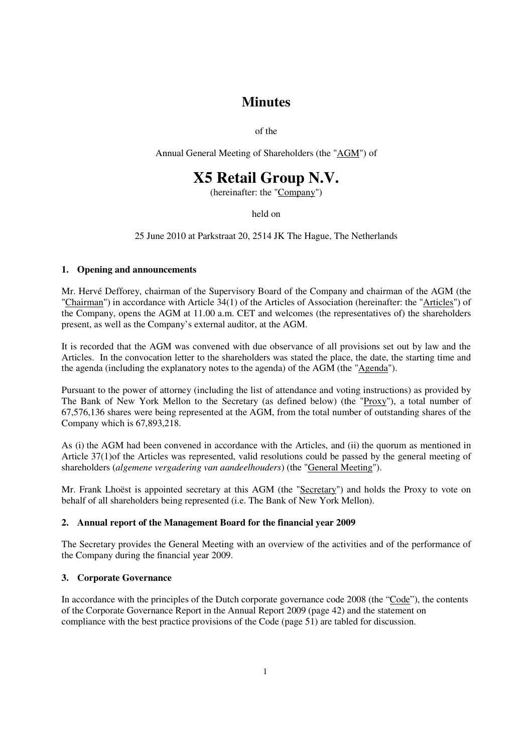# **Minutes**

of the

Annual General Meeting of Shareholders (the "AGM") of

# **X5 Retail Group N.V.**

(hereinafter: the "Company")

held on

25 June 2010 at Parkstraat 20, 2514 JK The Hague, The Netherlands

#### **1. Opening and announcements**

Mr. Hervé Defforey, chairman of the Supervisory Board of the Company and chairman of the AGM (the "Chairman") in accordance with Article 34(1) of the Articles of Association (hereinafter: the "Articles") of the Company, opens the AGM at 11.00 a.m. CET and welcomes (the representatives of) the shareholders present, as well as the Company's external auditor, at the AGM.

It is recorded that the AGM was convened with due observance of all provisions set out by law and the Articles. In the convocation letter to the shareholders was stated the place, the date, the starting time and the agenda (including the explanatory notes to the agenda) of the AGM (the "Agenda").

Pursuant to the power of attorney (including the list of attendance and voting instructions) as provided by The Bank of New York Mellon to the Secretary (as defined below) (the "Proxy"), a total number of 67,576,136 shares were being represented at the AGM, from the total number of outstanding shares of the Company which is 67,893,218.

As (i) the AGM had been convened in accordance with the Articles, and (ii) the quorum as mentioned in Article 37(1)of the Articles was represented, valid resolutions could be passed by the general meeting of shareholders (*algemene vergadering van aandeelhouders*) (the "General Meeting").

Mr. Frank Lhoëst is appointed secretary at this AGM (the "Secretary") and holds the Proxy to vote on behalf of all shareholders being represented (i.e. The Bank of New York Mellon).

# **2. Annual report of the Management Board for the financial year 2009**

The Secretary provides the General Meeting with an overview of the activities and of the performance of the Company during the financial year 2009.

# **3. Corporate Governance**

In accordance with the principles of the Dutch corporate governance code 2008 (the "Code"), the contents of the Corporate Governance Report in the Annual Report 2009 (page 42) and the statement on compliance with the best practice provisions of the Code (page 51) are tabled for discussion.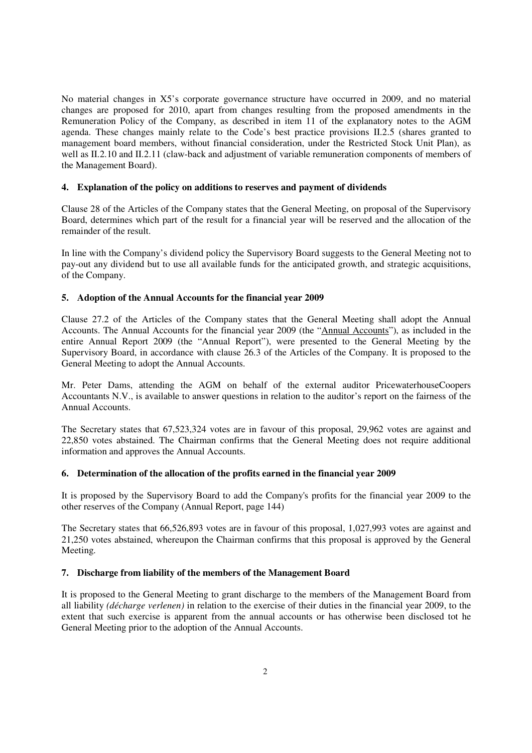No material changes in X5's corporate governance structure have occurred in 2009, and no material changes are proposed for 2010, apart from changes resulting from the proposed amendments in the Remuneration Policy of the Company, as described in item 11 of the explanatory notes to the AGM agenda. These changes mainly relate to the Code's best practice provisions II.2.5 (shares granted to management board members, without financial consideration, under the Restricted Stock Unit Plan), as well as II.2.10 and II.2.11 (claw-back and adjustment of variable remuneration components of members of the Management Board).

#### **4. Explanation of the policy on additions to reserves and payment of dividends**

Clause 28 of the Articles of the Company states that the General Meeting, on proposal of the Supervisory Board, determines which part of the result for a financial year will be reserved and the allocation of the remainder of the result.

In line with the Company's dividend policy the Supervisory Board suggests to the General Meeting not to pay-out any dividend but to use all available funds for the anticipated growth, and strategic acquisitions, of the Company.

# **5. Adoption of the Annual Accounts for the financial year 2009**

Clause 27.2 of the Articles of the Company states that the General Meeting shall adopt the Annual Accounts. The Annual Accounts for the financial year 2009 (the "Annual Accounts"), as included in the entire Annual Report 2009 (the "Annual Report"), were presented to the General Meeting by the Supervisory Board, in accordance with clause 26.3 of the Articles of the Company. It is proposed to the General Meeting to adopt the Annual Accounts.

Mr. Peter Dams, attending the AGM on behalf of the external auditor PricewaterhouseCoopers Accountants N.V., is available to answer questions in relation to the auditor's report on the fairness of the Annual Accounts.

The Secretary states that 67,523,324 votes are in favour of this proposal, 29,962 votes are against and 22,850 votes abstained. The Chairman confirms that the General Meeting does not require additional information and approves the Annual Accounts.

#### **6. Determination of the allocation of the profits earned in the financial year 2009**

It is proposed by the Supervisory Board to add the Company's profits for the financial year 2009 to the other reserves of the Company (Annual Report, page 144)

The Secretary states that 66,526,893 votes are in favour of this proposal, 1,027,993 votes are against and 21,250 votes abstained, whereupon the Chairman confirms that this proposal is approved by the General Meeting.

#### **7. Discharge from liability of the members of the Management Board**

It is proposed to the General Meeting to grant discharge to the members of the Management Board from all liability *(décharge verlenen)* in relation to the exercise of their duties in the financial year 2009, to the extent that such exercise is apparent from the annual accounts or has otherwise been disclosed tot he General Meeting prior to the adoption of the Annual Accounts.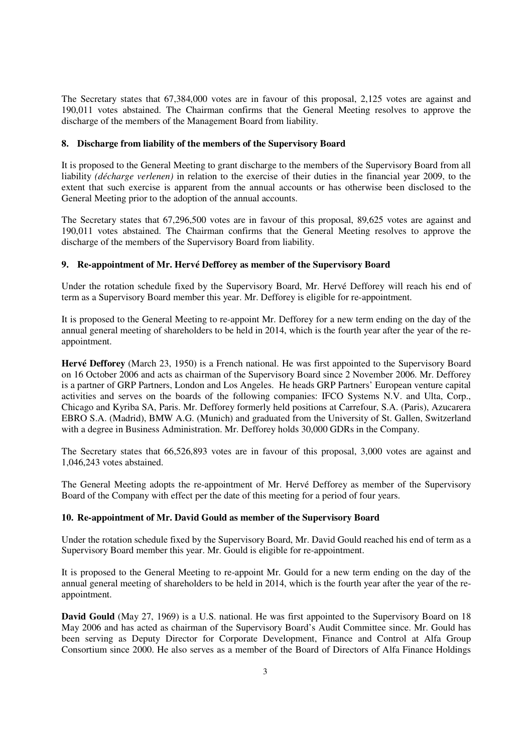The Secretary states that 67,384,000 votes are in favour of this proposal, 2,125 votes are against and 190,011 votes abstained. The Chairman confirms that the General Meeting resolves to approve the discharge of the members of the Management Board from liability.

#### **8. Discharge from liability of the members of the Supervisory Board**

It is proposed to the General Meeting to grant discharge to the members of the Supervisory Board from all liability *(décharge verlenen)* in relation to the exercise of their duties in the financial year 2009, to the extent that such exercise is apparent from the annual accounts or has otherwise been disclosed to the General Meeting prior to the adoption of the annual accounts.

The Secretary states that 67,296,500 votes are in favour of this proposal, 89,625 votes are against and 190,011 votes abstained. The Chairman confirms that the General Meeting resolves to approve the discharge of the members of the Supervisory Board from liability.

# **9. Re-appointment of Mr. Hervé Defforey as member of the Supervisory Board**

Under the rotation schedule fixed by the Supervisory Board, Mr. Hervé Defforey will reach his end of term as a Supervisory Board member this year. Mr. Defforey is eligible for re-appointment.

It is proposed to the General Meeting to re-appoint Mr. Defforey for a new term ending on the day of the annual general meeting of shareholders to be held in 2014, which is the fourth year after the year of the reappointment.

**Hervé Defforey** (March 23, 1950) is a French national. He was first appointed to the Supervisory Board on 16 October 2006 and acts as chairman of the Supervisory Board since 2 November 2006. Mr. Defforey is a partner of GRP Partners, London and Los Angeles. He heads GRP Partners' European venture capital activities and serves on the boards of the following companies: IFCO Systems N.V. and Ulta, Corp., Chicago and Kyriba SA, Paris. Mr. Defforey formerly held positions at Carrefour, S.A. (Paris), Azucarera EBRO S.A. (Madrid), BMW A.G. (Munich) and graduated from the University of St. Gallen, Switzerland with a degree in Business Administration. Mr. Defforey holds 30,000 GDRs in the Company.

The Secretary states that 66,526,893 votes are in favour of this proposal, 3,000 votes are against and 1,046,243 votes abstained.

The General Meeting adopts the re-appointment of Mr. Hervé Defforey as member of the Supervisory Board of the Company with effect per the date of this meeting for a period of four years.

# **10. Re-appointment of Mr. David Gould as member of the Supervisory Board**

Under the rotation schedule fixed by the Supervisory Board, Mr. David Gould reached his end of term as a Supervisory Board member this year. Mr. Gould is eligible for re-appointment.

It is proposed to the General Meeting to re-appoint Mr. Gould for a new term ending on the day of the annual general meeting of shareholders to be held in 2014, which is the fourth year after the year of the reappointment.

**David Gould** (May 27, 1969) is a U.S. national. He was first appointed to the Supervisory Board on 18 May 2006 and has acted as chairman of the Supervisory Board's Audit Committee since. Mr. Gould has been serving as Deputy Director for Corporate Development, Finance and Control at Alfa Group Consortium since 2000. He also serves as a member of the Board of Directors of Alfa Finance Holdings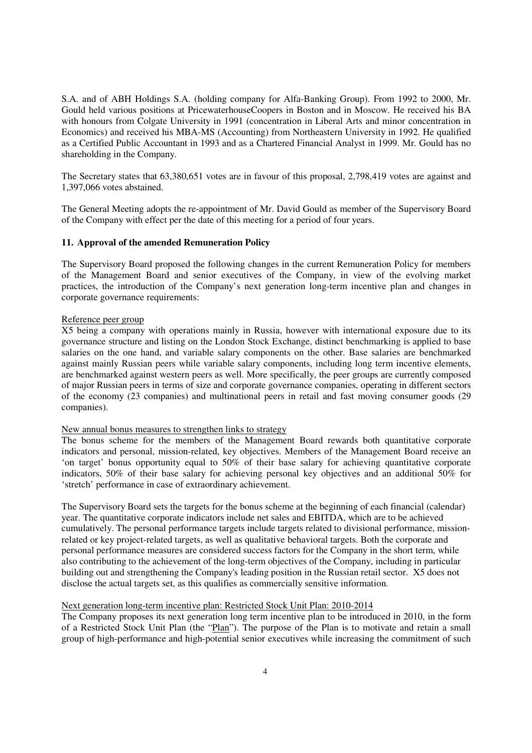S.A. and of ABH Holdings S.A. (holding company for Alfa-Banking Group). From 1992 to 2000, Mr. Gould held various positions at PricewaterhouseCoopers in Boston and in Moscow. He received his BA with honours from Colgate University in 1991 (concentration in Liberal Arts and minor concentration in Economics) and received his MBA-MS (Accounting) from Northeastern University in 1992. He qualified as a Certified Public Accountant in 1993 and as a Chartered Financial Analyst in 1999. Mr. Gould has no shareholding in the Company.

The Secretary states that 63,380,651 votes are in favour of this proposal, 2,798,419 votes are against and 1,397,066 votes abstained.

The General Meeting adopts the re-appointment of Mr. David Gould as member of the Supervisory Board of the Company with effect per the date of this meeting for a period of four years.

#### **11. Approval of the amended Remuneration Policy**

The Supervisory Board proposed the following changes in the current Remuneration Policy for members of the Management Board and senior executives of the Company, in view of the evolving market practices, the introduction of the Company's next generation long-term incentive plan and changes in corporate governance requirements:

#### Reference peer group

X5 being a company with operations mainly in Russia, however with international exposure due to its governance structure and listing on the London Stock Exchange, distinct benchmarking is applied to base salaries on the one hand, and variable salary components on the other. Base salaries are benchmarked against mainly Russian peers while variable salary components, including long term incentive elements, are benchmarked against western peers as well. More specifically, the peer groups are currently composed of major Russian peers in terms of size and corporate governance companies, operating in different sectors of the economy (23 companies) and multinational peers in retail and fast moving consumer goods (29 companies).

#### New annual bonus measures to strengthen links to strategy

The bonus scheme for the members of the Management Board rewards both quantitative corporate indicators and personal, mission-related, key objectives. Members of the Management Board receive an 'on target' bonus opportunity equal to 50% of their base salary for achieving quantitative corporate indicators, 50% of their base salary for achieving personal key objectives and an additional 50% for 'stretch' performance in case of extraordinary achievement.

The Supervisory Board sets the targets for the bonus scheme at the beginning of each financial (calendar) year. The quantitative corporate indicators include net sales and EBITDA, which are to be achieved cumulatively. The personal performance targets include targets related to divisional performance, missionrelated or key project-related targets, as well as qualitative behavioral targets. Both the corporate and personal performance measures are considered success factors for the Company in the short term, while also contributing to the achievement of the long-term objectives of the Company, including in particular building out and strengthening the Company's leading position in the Russian retail sector. X5 does not disclose the actual targets set, as this qualifies as commercially sensitive information.

#### Next generation long-term incentive plan: Restricted Stock Unit Plan: 2010-2014

The Company proposes its next generation long term incentive plan to be introduced in 2010, in the form of a Restricted Stock Unit Plan (the "Plan"). The purpose of the Plan is to motivate and retain a small group of high-performance and high-potential senior executives while increasing the commitment of such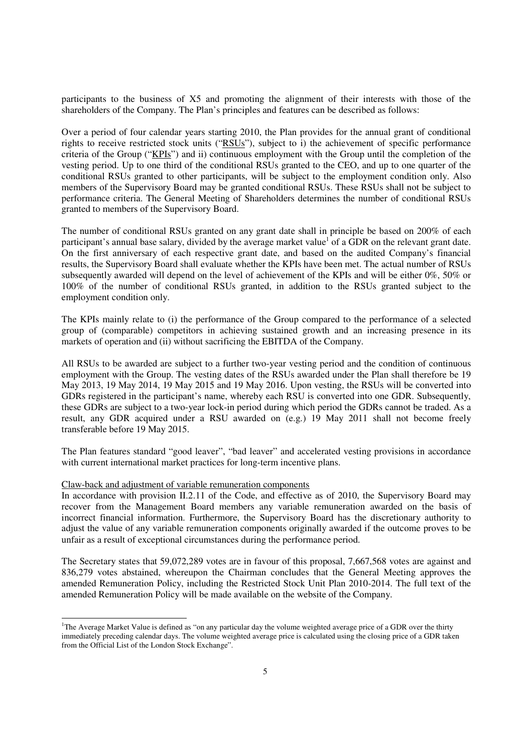participants to the business of X5 and promoting the alignment of their interests with those of the shareholders of the Company. The Plan's principles and features can be described as follows:

Over a period of four calendar years starting 2010, the Plan provides for the annual grant of conditional rights to receive restricted stock units ("RSUs"), subject to i) the achievement of specific performance criteria of the Group ("KPIs") and ii) continuous employment with the Group until the completion of the vesting period. Up to one third of the conditional RSUs granted to the CEO, and up to one quarter of the conditional RSUs granted to other participants, will be subject to the employment condition only. Also members of the Supervisory Board may be granted conditional RSUs. These RSUs shall not be subject to performance criteria. The General Meeting of Shareholders determines the number of conditional RSUs granted to members of the Supervisory Board.

The number of conditional RSUs granted on any grant date shall in principle be based on 200% of each participant's annual base salary, divided by the average market value<sup>1</sup> of a GDR on the relevant grant date. On the first anniversary of each respective grant date, and based on the audited Company's financial results, the Supervisory Board shall evaluate whether the KPIs have been met. The actual number of RSUs subsequently awarded will depend on the level of achievement of the KPIs and will be either 0%, 50% or 100% of the number of conditional RSUs granted, in addition to the RSUs granted subject to the employment condition only.

The KPIs mainly relate to (i) the performance of the Group compared to the performance of a selected group of (comparable) competitors in achieving sustained growth and an increasing presence in its markets of operation and (ii) without sacrificing the EBITDA of the Company.

All RSUs to be awarded are subject to a further two-year vesting period and the condition of continuous employment with the Group. The vesting dates of the RSUs awarded under the Plan shall therefore be 19 May 2013, 19 May 2014, 19 May 2015 and 19 May 2016. Upon vesting, the RSUs will be converted into GDRs registered in the participant's name, whereby each RSU is converted into one GDR. Subsequently, these GDRs are subject to a two-year lock-in period during which period the GDRs cannot be traded. As a result, any GDR acquired under a RSU awarded on (e.g.) 19 May 2011 shall not become freely transferable before 19 May 2015.

The Plan features standard "good leaver", "bad leaver" and accelerated vesting provisions in accordance with current international market practices for long-term incentive plans.

#### Claw-back and adjustment of variable remuneration components

-

In accordance with provision II.2.11 of the Code, and effective as of 2010, the Supervisory Board may recover from the Management Board members any variable remuneration awarded on the basis of incorrect financial information. Furthermore, the Supervisory Board has the discretionary authority to adjust the value of any variable remuneration components originally awarded if the outcome proves to be unfair as a result of exceptional circumstances during the performance period.

The Secretary states that 59,072,289 votes are in favour of this proposal, 7,667,568 votes are against and 836,279 votes abstained, whereupon the Chairman concludes that the General Meeting approves the amended Remuneration Policy, including the Restricted Stock Unit Plan 2010-2014. The full text of the amended Remuneration Policy will be made available on the website of the Company.

<sup>&</sup>lt;sup>1</sup>The Average Market Value is defined as "on any particular day the volume weighted average price of a GDR over the thirty immediately preceding calendar days. The volume weighted average price is calculated using the closing price of a GDR taken from the Official List of the London Stock Exchange".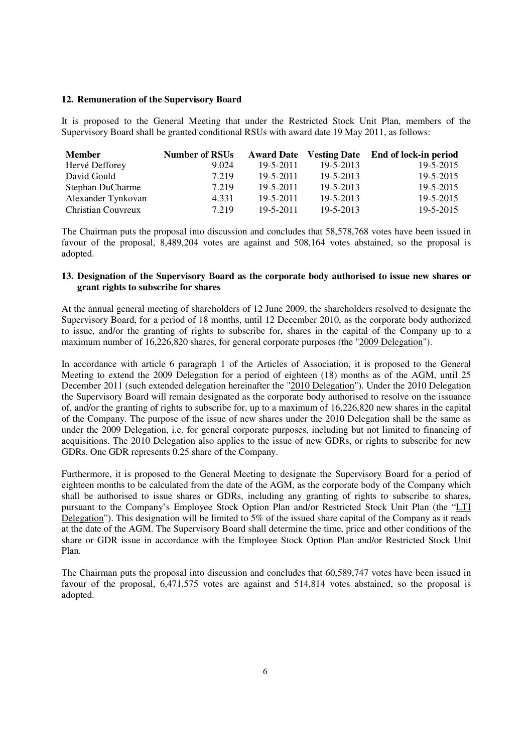#### **12. Remuneration of the Supervisory Board**

It is proposed to the General Meeting that under the Restricted Stock Unit Plan, members of the Supervisory Board shall be granted conditional RSUs with award date 19 May 2011, as follows:

| <b>Member</b>      | <b>Number of RSUs</b> |                 |           | Award Date Vesting Date End of lock-in period |
|--------------------|-----------------------|-----------------|-----------|-----------------------------------------------|
| Hervé Defforey     | 9.024                 | $19 - 5 - 2011$ | 19-5-2013 | $19 - 5 - 2015$                               |
| David Gould        | 7.219                 | $19 - 5 - 2011$ | 19-5-2013 | $19 - 5 - 2015$                               |
| Stephan DuCharme   | 7.219                 | $19 - 5 - 2011$ | 19-5-2013 | $19 - 5 - 2015$                               |
| Alexander Tynkovan | 4.331                 | $19 - 5 - 2011$ | 19-5-2013 | 19-5-2015                                     |
| Christian Couvreux | 7.219                 | $19 - 5 - 2011$ | 19-5-2013 | 19-5-2015                                     |

The Chairman puts the proposal into discussion and concludes that 58,578,768 votes have been issued in favour of the proposal, 8,489,204 votes are against and 508,164 votes abstained, so the proposal is adopted.

#### **13. Designation of the Supervisory Board as the corporate body authorised to issue new shares or grant rights to subscribe for shares**

At the annual general meeting of shareholders of 12 June 2009, the shareholders resolved to designate the Supervisory Board, for a period of 18 months, until 12 December 2010, as the corporate body authorized to issue, and/or the granting of rights to subscribe for, shares in the capital of the Company up to a maximum number of 16,226,820 shares, for general corporate purposes (the "2009 Delegation").

In accordance with article 6 paragraph 1 of the Articles of Association, it is proposed to the General Meeting to extend the 2009 Delegation for a period of eighteen (18) months as of the AGM, until 25 December 2011 (such extended delegation hereinafter the "2010 Delegation"). Under the 2010 Delegation the Supervisory Board will remain designated as the corporate body authorised to resolve on the issuance of, and/or the granting of rights to subscribe for, up to a maximum of 16,226,820 new shares in the capital of the Company. The purpose of the issue of new shares under the 2010 Delegation shall be the same as under the 2009 Delegation, i.e. for general corporate purposes, including but not limited to financing of acquisitions. The 2010 Delegation also applies to the issue of new GDRs, or rights to subscribe for new GDRs. One GDR represents 0.25 share of the Company.

Furthermore, it is proposed to the General Meeting to designate the Supervisory Board for a period of eighteen months to be calculated from the date of the AGM, as the corporate body of the Company which shall be authorised to issue shares or GDRs, including any granting of rights to subscribe to shares, pursuant to the Company's Employee Stock Option Plan and/or Restricted Stock Unit Plan (the "LTI Delegation"). This designation will be limited to  $5\%$  of the issued share capital of the Company as it reads at the date of the AGM. The Supervisory Board shall determine the time, price and other conditions of the share or GDR issue in accordance with the Employee Stock Option Plan and/or Restricted Stock Unit Plan.

The Chairman puts the proposal into discussion and concludes that 60,589,747 votes have been issued in favour of the proposal, 6,471,575 votes are against and 514,814 votes abstained, so the proposal is adopted.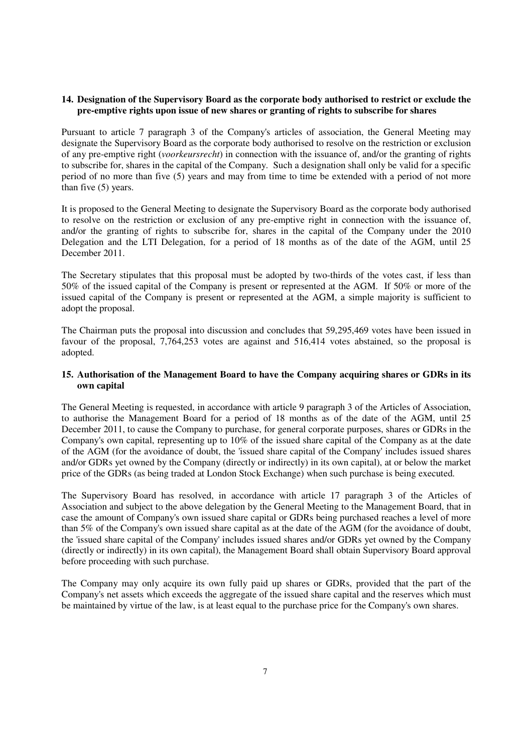#### **14. Designation of the Supervisory Board as the corporate body authorised to restrict or exclude the pre-emptive rights upon issue of new shares or granting of rights to subscribe for shares**

Pursuant to article 7 paragraph 3 of the Company's articles of association, the General Meeting may designate the Supervisory Board as the corporate body authorised to resolve on the restriction or exclusion of any pre-emptive right (*voorkeursrecht*) in connection with the issuance of, and/or the granting of rights to subscribe for, shares in the capital of the Company. Such a designation shall only be valid for a specific period of no more than five (5) years and may from time to time be extended with a period of not more than five (5) years.

It is proposed to the General Meeting to designate the Supervisory Board as the corporate body authorised to resolve on the restriction or exclusion of any pre-emptive right in connection with the issuance of, and/or the granting of rights to subscribe for, shares in the capital of the Company under the 2010 Delegation and the LTI Delegation, for a period of 18 months as of the date of the AGM, until 25 December 2011.

The Secretary stipulates that this proposal must be adopted by two-thirds of the votes cast, if less than 50% of the issued capital of the Company is present or represented at the AGM. If 50% or more of the issued capital of the Company is present or represented at the AGM, a simple majority is sufficient to adopt the proposal.

The Chairman puts the proposal into discussion and concludes that 59,295,469 votes have been issued in favour of the proposal, 7,764,253 votes are against and 516,414 votes abstained, so the proposal is adopted.

#### **15. Authorisation of the Management Board to have the Company acquiring shares or GDRs in its own capital**

The General Meeting is requested, in accordance with article 9 paragraph 3 of the Articles of Association, to authorise the Management Board for a period of 18 months as of the date of the AGM, until 25 December 2011, to cause the Company to purchase, for general corporate purposes, shares or GDRs in the Company's own capital, representing up to 10% of the issued share capital of the Company as at the date of the AGM (for the avoidance of doubt, the 'issued share capital of the Company' includes issued shares and/or GDRs yet owned by the Company (directly or indirectly) in its own capital), at or below the market price of the GDRs (as being traded at London Stock Exchange) when such purchase is being executed.

The Supervisory Board has resolved, in accordance with article 17 paragraph 3 of the Articles of Association and subject to the above delegation by the General Meeting to the Management Board, that in case the amount of Company's own issued share capital or GDRs being purchased reaches a level of more than 5% of the Company's own issued share capital as at the date of the AGM (for the avoidance of doubt, the 'issued share capital of the Company' includes issued shares and/or GDRs yet owned by the Company (directly or indirectly) in its own capital), the Management Board shall obtain Supervisory Board approval before proceeding with such purchase.

The Company may only acquire its own fully paid up shares or GDRs, provided that the part of the Company's net assets which exceeds the aggregate of the issued share capital and the reserves which must be maintained by virtue of the law, is at least equal to the purchase price for the Company's own shares.